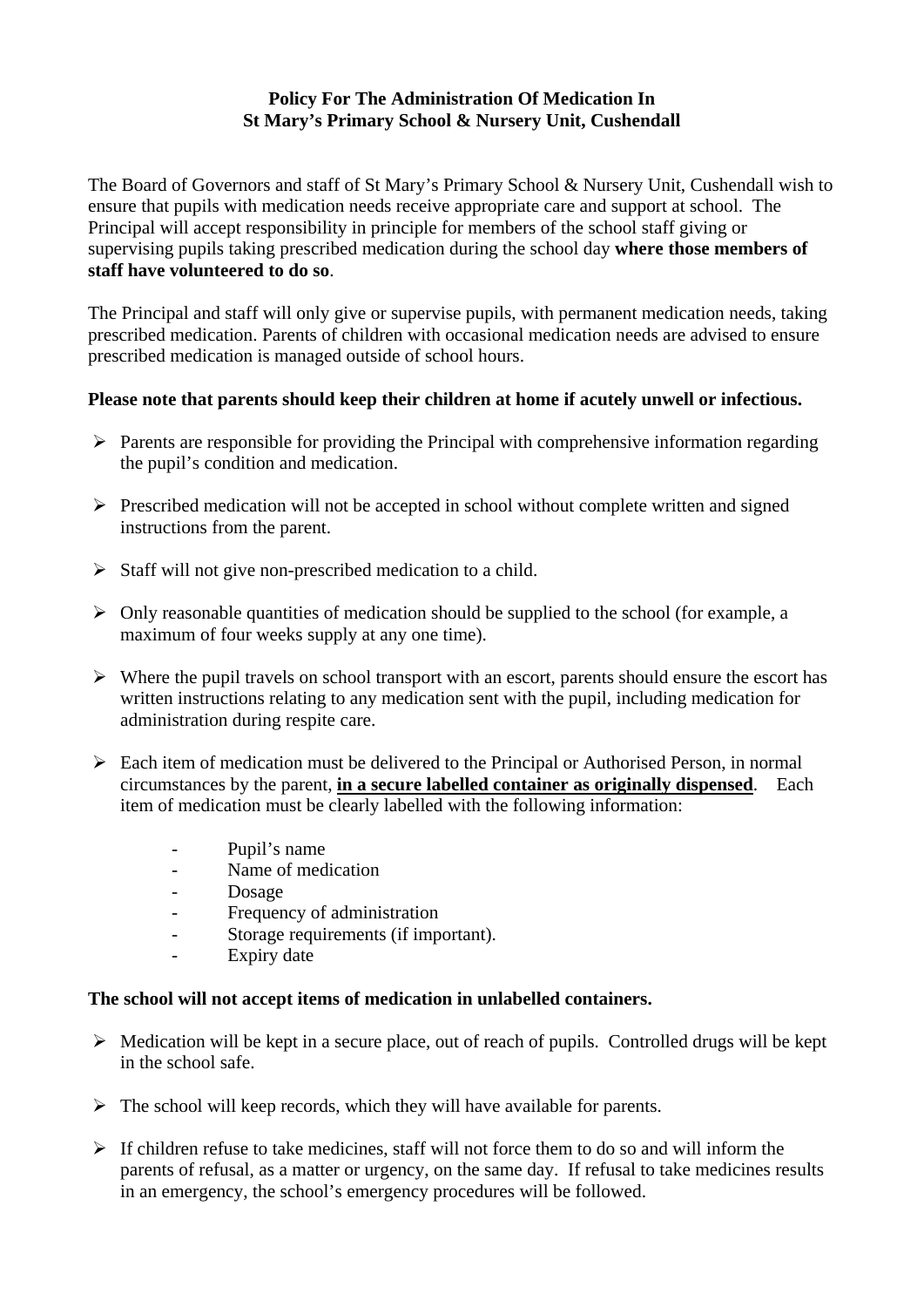## **Policy For The Administration Of Medication In St Mary's Primary School & Nursery Unit, Cushendall**

The Board of Governors and staff of St Mary's Primary School & Nursery Unit, Cushendall wish to ensure that pupils with medication needs receive appropriate care and support at school. The Principal will accept responsibility in principle for members of the school staff giving or supervising pupils taking prescribed medication during the school day **where those members of staff have volunteered to do so**.

The Principal and staff will only give or supervise pupils, with permanent medication needs, taking prescribed medication. Parents of children with occasional medication needs are advised to ensure prescribed medication is managed outside of school hours.

## **Please note that parents should keep their children at home if acutely unwell or infectious.**

- $\triangleright$  Parents are responsible for providing the Principal with comprehensive information regarding the pupil's condition and medication.
- $\triangleright$  Prescribed medication will not be accepted in school without complete written and signed instructions from the parent.
- $\triangleright$  Staff will not give non-prescribed medication to a child.
- $\triangleright$  Only reasonable quantities of medication should be supplied to the school (for example, a maximum of four weeks supply at any one time).
- $\triangleright$  Where the pupil travels on school transport with an escort, parents should ensure the escort has written instructions relating to any medication sent with the pupil, including medication for administration during respite care.
- $\triangleright$  Each item of medication must be delivered to the Principal or Authorised Person, in normal circumstances by the parent, **in a secure labelled container as originally dispensed**. Each item of medication must be clearly labelled with the following information:
	- Pupil's name
	- Name of medication
	- Dosage
	- Frequency of administration
	- Storage requirements (if important).
	- Expiry date

## **The school will not accept items of medication in unlabelled containers.**

- $\triangleright$  Medication will be kept in a secure place, out of reach of pupils. Controlled drugs will be kept in the school safe.
- $\triangleright$  The school will keep records, which they will have available for parents.
- $\triangleright$  If children refuse to take medicines, staff will not force them to do so and will inform the parents of refusal, as a matter or urgency, on the same day. If refusal to take medicines results in an emergency, the school's emergency procedures will be followed.